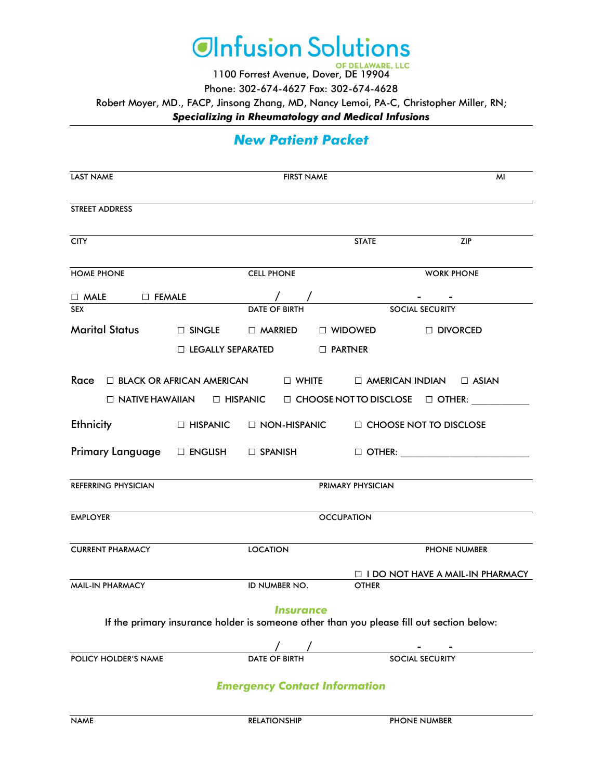

1100 Forrest Avenue, Dover, DE 19904

Phone: 302-674-4627 Fax: 302-674-4628

Robert Moyer, MD., FACP, Jinsong Zhang, MD, Nancy Lemoi, PA-C, Christopher Miller, RN;

*Specializing in Rheumatology and Medical Infusions* 

# *New Patient Packet*

| LAST NAME                                                                                                                                     | <b>FIRST NAME</b>        |                                      |                                                                                                                                                              | MI |
|-----------------------------------------------------------------------------------------------------------------------------------------------|--------------------------|--------------------------------------|--------------------------------------------------------------------------------------------------------------------------------------------------------------|----|
| <b>STREET ADDRESS</b>                                                                                                                         |                          |                                      |                                                                                                                                                              |    |
| <b>CITY</b>                                                                                                                                   |                          | <b>STATE</b>                         | <b>ZIP</b>                                                                                                                                                   |    |
| <b>HOME PHONE</b>                                                                                                                             | <b>CELL PHONE</b>        |                                      | <b>WORK PHONE</b>                                                                                                                                            |    |
| $\Box \,\,\text{MALE} \qquad \Box \,\,\text{FEMALE} \qquad \qquad \angle$                                                                     |                          |                                      | <u>and the second second</u>                                                                                                                                 |    |
| <b>SEX</b>                                                                                                                                    | <b>DATE OF BIRTH</b>     |                                      | <b>SOCIAL SECURITY</b>                                                                                                                                       |    |
| Marital Status D SINGLE D MARRIED                                                                                                             |                          | $\Box$ WIDOWED                       | □ DIVORCED                                                                                                                                                   |    |
|                                                                                                                                               | $\Box$ LEGALLY SEPARATED | $\Box$ PARTNER                       |                                                                                                                                                              |    |
| $\begin{array}{ccccc}\n\textbf{Race} & \Box & \textbf{BLACK OR AFRICAN AMERICAN} \\ \hline\n\end{array}$ AMERICAN INDIAN $\quad$ $\Box$ ASIAN |                          |                                      |                                                                                                                                                              |    |
|                                                                                                                                               |                          |                                      | $\square \text{ NATIVE HAWAILAN} \qquad \square \text{ HISPANIC} \qquad \square \text{ CHOOSE NOT TO DISCLOSE} \qquad \square \text{ OTHER:} \qquad \square$ |    |
| $E$ thnicity $\square$ HISPANIC $\square$ NON-HISPANIC $\square$ CHOOSE NOT TO DISCLOSE                                                       |                          |                                      |                                                                                                                                                              |    |
| Primary Language □ ENGLISH □ SPANISH □ OTHER: <u>UNITER: WEBSTER: WEBSTER:</u>                                                                |                          |                                      |                                                                                                                                                              |    |
| REFERRING PHYSICIAN                                                                                                                           |                          | PRIMARY PHYSICIAN                    |                                                                                                                                                              |    |
| <b>EMPLOYER</b>                                                                                                                               |                          | <b>OCCUPATION</b>                    |                                                                                                                                                              |    |
| <b>CURRENT PHARMACY</b>                                                                                                                       | <b>LOCATION</b>          |                                      | <b>PHONE NUMBER</b>                                                                                                                                          |    |
| MAIL-IN PHARMACY                                                                                                                              | <b>ID NUMBER NO.</b>     | <b>OTHER</b>                         | $\Box$ I DO NOT HAVE A MAIL-IN PHARMACY                                                                                                                      |    |
|                                                                                                                                               | <i><b>Insurance</b></i>  |                                      | If the primary insurance holder is someone other than you please fill out section below:                                                                     |    |
|                                                                                                                                               |                          |                                      |                                                                                                                                                              |    |
| POLICY HOLDER'S NAME                                                                                                                          | DATE OF BIRTH            |                                      | <b>SOCIAL SECURITY</b>                                                                                                                                       |    |
|                                                                                                                                               |                          | <b>Emergency Contact Information</b> |                                                                                                                                                              |    |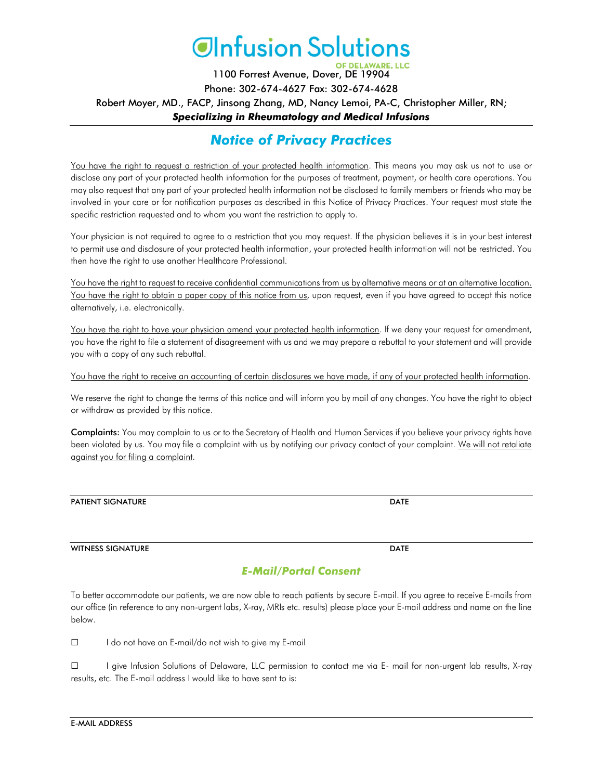

1100 Forrest Avenue, Dover, DE 19904 Phone: 302-674-4627 Fax: 302-674-4628 Robert Moyer, MD., FACP, Jinsong Zhang, MD, Nancy Lemoi, PA-C, Christopher Miller, RN; *Specializing in Rheumatology and Medical Infusions* 

# *Notice of Privacy Practices*

You have the right to request a restriction of your protected health information. This means you may ask us not to use or disclose any part of your protected health information for the purposes of treatment, payment, or health care operations. You may also request that any part of your protected health information not be disclosed to family members or friends who may be involved in your care or for notification purposes as described in this Notice of Privacy Practices. Your request must state the specific restriction requested and to whom you want the restriction to apply to.

Your physician is not required to agree to a restriction that you may request. If the physician believes it is in your best interest to permit use and disclosure of your protected health information, your protected health information will not be restricted. You then have the right to use another Healthcare Professional.

You have the right to request to receive confidential communications from us by alternative means or at an alternative location. You have the right to obtain a paper copy of this notice from us, upon request, even if you have agreed to accept this notice alternatively, i.e. electronically.

You have the right to have your physician amend your protected health information. If we deny your request for amendment, you have the right to file a statement of disagreement with us and we may prepare a rebuttal to your statement and will provide you with a copy of any such rebuttal.

You have the right to receive an accounting of certain disclosures we have made, if any of your protected health information.

We reserve the right to change the terms of this notice and will inform you by mail of any changes. You have the right to object or withdraw as provided by this notice.

Complaints: You may complain to us or to the Secretary of Health and Human Services if you believe your privacy rights have been violated by us. You may file a complaint with us by notifying our privacy contact of your complaint. We will not retaliate against you for filing a complaint.

| <b>PATIENT SIGNATURE</b> | DATE |
|--------------------------|------|
|                          |      |

#### WITNESS SIGNATURE **DATE**

#### *E-Mail/Portal Consent*

To better accommodate our patients, we are now able to reach patients by secure E-mail. If you agree to receive E-mails from our office (in reference to any non-urgent labs, X-ray, MRIs etc. results) please place your E-mail address and name on the line below.

☐ I do not have an E-mail/do not wish to give my E-mail

☐ I give Infusion Solutions of Delaware, LLC permission to contact me via E- mail for non-urgent lab results, X-ray results, etc. The E-mail address I would like to have sent to is: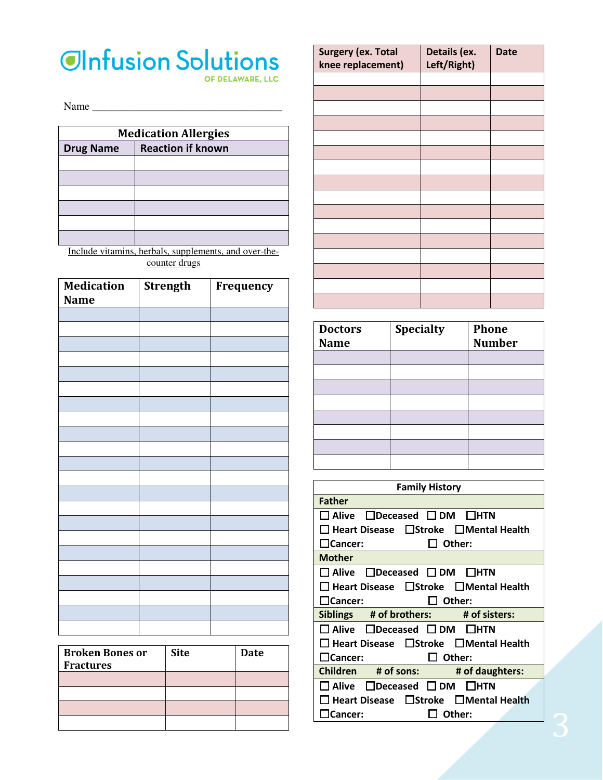# **OInfusion Solutions**

OF DELAWARE, LLC

Name \_\_\_\_\_\_\_\_\_\_\_\_\_\_\_\_\_\_\_\_\_\_\_\_\_\_\_\_\_\_\_\_\_\_\_

| <b>Medication Allergies</b> |                          |  |  |
|-----------------------------|--------------------------|--|--|
| <b>Drug Name</b>            | <b>Reaction if known</b> |  |  |
|                             |                          |  |  |
|                             |                          |  |  |
|                             |                          |  |  |
|                             |                          |  |  |
|                             |                          |  |  |
|                             |                          |  |  |

Include vitamins, herbals, supplements, and over-thecounter drugs

| Medication<br><b>Name</b> | <b>Strength</b> | Frequency |
|---------------------------|-----------------|-----------|
|                           |                 |           |
|                           |                 |           |
|                           |                 |           |
|                           |                 |           |
|                           |                 |           |
|                           |                 |           |
|                           |                 |           |
|                           |                 |           |
|                           |                 |           |
|                           |                 |           |
|                           |                 |           |
|                           |                 |           |
|                           |                 |           |
|                           |                 |           |
|                           |                 |           |
|                           |                 |           |
|                           |                 |           |
|                           |                 |           |
|                           |                 |           |
|                           |                 |           |
|                           |                 |           |
|                           |                 |           |

| <b>Broken Bones or</b><br><b>Fractures</b> | <b>Site</b> | Date |
|--------------------------------------------|-------------|------|
|                                            |             |      |
|                                            |             |      |
|                                            |             |      |
|                                            |             |      |

| <b>Surgery (ex. Total</b><br>knee replacement) | Details (ex.<br>Left/Right) | <b>Date</b> |
|------------------------------------------------|-----------------------------|-------------|
|                                                |                             |             |
|                                                |                             |             |
|                                                |                             |             |
|                                                |                             |             |
|                                                |                             |             |
|                                                |                             |             |
|                                                |                             |             |
|                                                |                             |             |
|                                                |                             |             |
|                                                |                             |             |
|                                                |                             |             |
|                                                |                             |             |
|                                                |                             |             |
|                                                |                             |             |
|                                                |                             |             |
|                                                |                             |             |

| <b>Doctors</b> | <b>Specialty</b> | <b>Phone</b>  |
|----------------|------------------|---------------|
| <b>Name</b>    |                  | <b>Number</b> |
|                |                  |               |
|                |                  |               |
|                |                  |               |
|                |                  |               |
|                |                  |               |
|                |                  |               |
|                |                  |               |
|                |                  |               |

| <b>Family History</b>                                             |  |  |  |  |
|-------------------------------------------------------------------|--|--|--|--|
| <b>Father</b>                                                     |  |  |  |  |
| $\Box$ Alive $\Box$ Deceased $\Box$ DM $\Box$ HTN                 |  |  |  |  |
| $\Box$ Heart Disease $\Box$ Stroke $\Box$ Mental Health           |  |  |  |  |
| $\Box$ Cancer:<br>$\Box$ Other:                                   |  |  |  |  |
| <b>Mother</b>                                                     |  |  |  |  |
| $\Box$ Alive $\Box$ Deceased $\Box$ DM $\Box$ HTN                 |  |  |  |  |
| $\Box$ Heart Disease $\Box$ Stroke $\Box$ Mental Health           |  |  |  |  |
| □ Other:<br><b>□Cancer:</b>                                       |  |  |  |  |
| Siblings # of brothers: # of sisters:                             |  |  |  |  |
| $\square$ Alive $\;\square$ Deceased $\square$ DM $\;\square$ HTN |  |  |  |  |
| $\Box$ Heart Disease $\Box$ Stroke $\Box$ Mental Health           |  |  |  |  |
| ∐Cancer:<br>$\Box$ Other:                                         |  |  |  |  |
| Children # of sons:<br># of daughters:                            |  |  |  |  |
| $\Box$ Alive $\Box$ Deceased $\Box$ DM<br><b>THTN</b>             |  |  |  |  |
| Heart Disease □ Stroke □ Mental Health                            |  |  |  |  |
| Other:<br><b>ICancer:</b>                                         |  |  |  |  |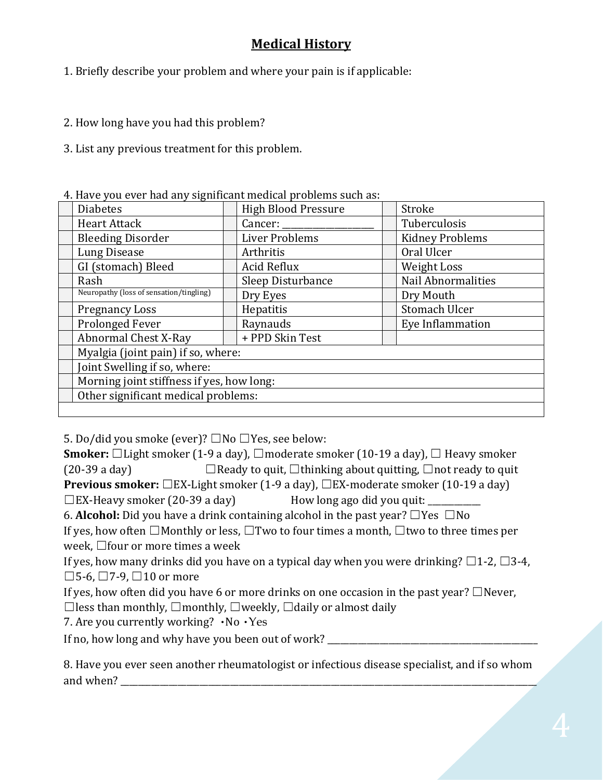# **Medical History**

- 1. Briefly describe your problem and where your pain is if applicable:
- 2. How long have you had this problem?
- 3. List any previous treatment for this problem.

4. Have you ever had any significant medical problems such as:

| <b>Diabetes</b>                           |  | <b>High Blood Pressure</b> |  | Stroke                    |  |  |
|-------------------------------------------|--|----------------------------|--|---------------------------|--|--|
| <b>Heart Attack</b>                       |  | Cancer: _____              |  | Tuberculosis              |  |  |
| <b>Bleeding Disorder</b>                  |  | Liver Problems             |  | <b>Kidney Problems</b>    |  |  |
| <b>Lung Disease</b>                       |  | Arthritis                  |  | Oral Ulcer                |  |  |
| GI (stomach) Bleed                        |  | Acid Reflux                |  | Weight Loss               |  |  |
| Rash                                      |  | Sleep Disturbance          |  | <b>Nail Abnormalities</b> |  |  |
| Neuropathy (loss of sensation/tingling)   |  | Dry Eyes                   |  | Dry Mouth                 |  |  |
| <b>Pregnancy Loss</b>                     |  | Hepatitis                  |  | Stomach Ulcer             |  |  |
| Prolonged Fever                           |  | Raynauds                   |  | Eye Inflammation          |  |  |
| Abnormal Chest X-Ray                      |  | + PPD Skin Test            |  |                           |  |  |
| Myalgia (joint pain) if so, where:        |  |                            |  |                           |  |  |
| Joint Swelling if so, where:              |  |                            |  |                           |  |  |
| Morning joint stiffness if yes, how long: |  |                            |  |                           |  |  |
| Other significant medical problems:       |  |                            |  |                           |  |  |
|                                           |  |                            |  |                           |  |  |

5. Do/did you smoke (ever)?  $\Box$  No  $\Box$  Yes, see below:

**Smoker:**  $\Box$ Light smoker (1-9 a day),  $\Box$ moderate smoker (10-19 a day),  $\Box$  Heavy smoker (20-39 a day)  $\Box$  Ready to quit,  $\Box$  thinking about quitting,  $\Box$  not ready to quit **Previous smoker:** □EX-Light smoker (1-9 a day), □EX-moderate smoker (10-19 a day)  $\square$  EX-Heavy smoker (20-39 a day) How long ago did you quit: \_\_\_\_\_\_\_\_\_\_\_\_\_\_\_\_\_\_\_\_\_\_\_

6. **Alcohol:** Did you have a drink containing alcohol in the past year?  $\Box$  Yes  $\Box$  No

If yes, how often  $\Box$  Monthly or less,  $\Box$  Two to four times a month,  $\Box$  two to three times per week,  $\Box$  four or more times a week

If yes, how many drinks did you have on a typical day when you were drinking?  $\Box$ 1-2,  $\Box$ 3-4,  $\Box$ 5-6,  $\Box$ 7-9,  $\Box$ 10 or more

If yes, how often did you have 6 or more drinks on one occasion in the past year?  $\Box$  Never,

 $\Box$  less than monthly,  $\Box$  monthly,  $\Box$  weekly,  $\Box$  daily or almost daily

7. Are you currently working?  $\cdot$ No  $\cdot$ Yes

If no, how long and why have you been out of work?

8. Have you ever seen another rheumatologist or infectious disease specialist, and if so whom and when?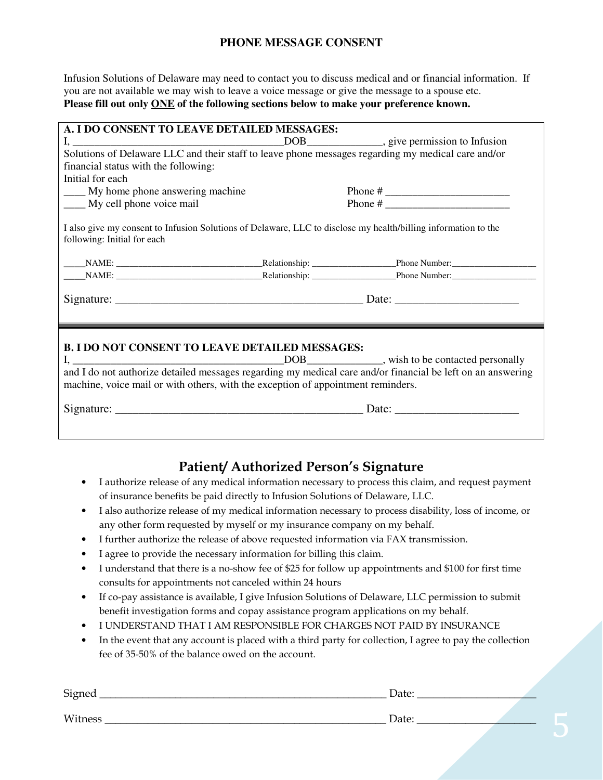#### **PHONE MESSAGE CONSENT**

Infusion Solutions of Delaware may need to contact you to discuss medical and or financial information. If you are not available we may wish to leave a voice message or give the message to a spouse etc. **Please fill out only ONE of the following sections below to make your preference known.** 

| A. I DO CONSENT TO LEAVE DETAILED MESSAGES:                                                                                                   |                                                                                                             |
|-----------------------------------------------------------------------------------------------------------------------------------------------|-------------------------------------------------------------------------------------------------------------|
|                                                                                                                                               |                                                                                                             |
| Solutions of Delaware LLC and their staff to leave phone messages regarding my medical care and/or                                            |                                                                                                             |
| financial status with the following:                                                                                                          |                                                                                                             |
| Initial for each                                                                                                                              |                                                                                                             |
| <u>equal</u> My home phone answering machine                                                                                                  |                                                                                                             |
| My cell phone voice mail                                                                                                                      |                                                                                                             |
| I also give my consent to Infusion Solutions of Delaware, LLC to disclose my health/billing information to the<br>following: Initial for each |                                                                                                             |
|                                                                                                                                               |                                                                                                             |
|                                                                                                                                               |                                                                                                             |
| <b>B. I DO NOT CONSENT TO LEAVE DETAILED MESSAGES:</b><br>machine, voice mail or with others, with the exception of appointment reminders.    | and I do not authorize detailed messages regarding my medical care and/or financial be left on an answering |

### **Patient/ Authorized Person's Signature**

- I authorize release of any medical information necessary to process this claim, and request payment of insurance benefits be paid directly to Infusion Solutions of Delaware, LLC.
- I also authorize release of my medical information necessary to process disability, loss of income, or any other form requested by myself or my insurance company on my behalf.
- I further authorize the release of above requested information via FAX transmission.
- I agree to provide the necessary information for billing this claim.
- I understand that there is a no-show fee of \$25 for follow up appointments and \$100 for first time consults for appointments not canceled within 24 hours
- If co-pay assistance is available, I give Infusion Solutions of Delaware, LLC permission to submit benefit investigation forms and copay assistance program applications on my behalf.
- I UNDERSTAND THAT I AM RESPONSIBLE FOR CHARGES NOT PAID BY INSURANCE
- In the event that any account is placed with a third party for collection, I agree to pay the collection fee of 35-50% of the balance owed on the account.

| Signed  | Date: |  |
|---------|-------|--|
| Witness | Date: |  |